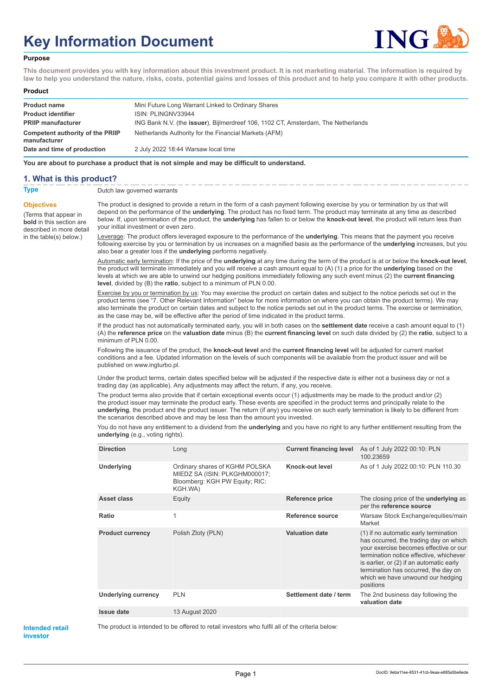# **Key Information Document**



#### **Purpose**

**This document provides you with key information about this investment product. It is not marketing material. The information is required by law to help you understand the nature, risks, costs, potential gains and losses of this product and to help you compare it with other products.**

#### **Product**

| <b>Product name</b>                              | Mini Future Long Warrant Linked to Ordinary Shares                                        |
|--------------------------------------------------|-------------------------------------------------------------------------------------------|
| <b>Product identifier</b>                        | ISIN: PLINGNV33944                                                                        |
| <b>PRIIP manufacturer</b>                        | ING Bank N.V. (the <b>issuer</b> ), Bijlmerdreef 106, 1102 CT, Amsterdam, The Netherlands |
| Competent authority of the PRIIP<br>manufacturer | Netherlands Authority for the Financial Markets (AFM)                                     |
| Date and time of production                      | 2 July 2022 18:44 Warsaw local time                                                       |

**You are about to purchase a product that is not simple and may be difficult to understand.**

### **1. What is this product?**

**Objectives**

(Terms that appear in **bold** in this section are

in the table(s) below.)

**Type** Dutch law governed warrants

described in more detail The product is designed to provide a return in the form of a cash payment following exercise by you or termination by us that will depend on the performance of the **underlying**. The product has no fixed term. The product may terminate at any time as described below. If, upon termination of the product, the **underlying** has fallen to or below the **knock-out level**, the product will return less than your initial investment or even zero.

> Leverage: The product offers leveraged exposure to the performance of the **underlying**. This means that the payment you receive following exercise by you or termination by us increases on a magnified basis as the performance of the **underlying** increases, but you also bear a greater loss if the **underlying** performs negatively.

> Automatic early termination: If the price of the **underlying** at any time during the term of the product is at or below the **knock-out level**, the product will terminate immediately and you will receive a cash amount equal to (A) (1) a price for the **underlying** based on the levels at which we are able to unwind our hedging positions immediately following any such event minus (2) the **current financing level**, divided by (B) the **ratio**, subject to a minimum of PLN 0.00.

Exercise by you or termination by us: You may exercise the product on certain dates and subject to the notice periods set out in the product terms (see "7. Other Relevant Information" below for more information on where you can obtain the product terms). We may also terminate the product on certain dates and subject to the notice periods set out in the product terms. The exercise or termination, as the case may be, will be effective after the period of time indicated in the product terms.

If the product has not automatically terminated early, you will in both cases on the **settlement date** receive a cash amount equal to (1) (A) the **reference price** on the **valuation date** minus (B) the **current financing level** on such date divided by (2) the **ratio**, subject to a minimum of PLN 0.00.

Following the issuance of the product, the **knock-out level** and the **current financing level** will be adjusted for current market conditions and a fee. Updated information on the levels of such components will be available from the product issuer and will be published on www.ingturbo.pl.

Under the product terms, certain dates specified below will be adjusted if the respective date is either not a business day or not a trading day (as applicable). Any adjustments may affect the return, if any, you receive.

The product terms also provide that if certain exceptional events occur (1) adjustments may be made to the product and/or (2) the product issuer may terminate the product early. These events are specified in the product terms and principally relate to the **underlying**, the product and the product issuer. The return (if any) you receive on such early termination is likely to be different from the scenarios described above and may be less than the amount you invested.

You do not have any entitlement to a dividend from the **underlying** and you have no right to any further entitlement resulting from the **underlying** (e.g., voting rights).

| <b>Direction</b>           | Long                                                                                                         | <b>Current financing level</b> | As of 1 July 2022 00:10: PLN<br>100.23659                                                                                                                                                                                                                                                                  |
|----------------------------|--------------------------------------------------------------------------------------------------------------|--------------------------------|------------------------------------------------------------------------------------------------------------------------------------------------------------------------------------------------------------------------------------------------------------------------------------------------------------|
| Underlying                 | Ordinary shares of KGHM POLSKA<br>MIEDZ SA (ISIN: PLKGHM000017;<br>Bloomberg: KGH PW Equity; RIC:<br>KGH.WA) | Knock-out level                | As of 1 July 2022 00:10: PLN 110.30                                                                                                                                                                                                                                                                        |
| <b>Asset class</b>         | Equity                                                                                                       | Reference price                | The closing price of the <b>underlying</b> as<br>per the reference source                                                                                                                                                                                                                                  |
| Ratio                      | 1                                                                                                            | Reference source               | Warsaw Stock Exchange/equities/main<br>Market                                                                                                                                                                                                                                                              |
| <b>Product currency</b>    | Polish Zloty (PLN)                                                                                           | <b>Valuation date</b>          | (1) if no automatic early termination<br>has occurred, the trading day on which<br>your exercise becomes effective or our<br>termination notice effective, whichever<br>is earlier, or (2) if an automatic early<br>termination has occurred, the day on<br>which we have unwound our hedging<br>positions |
| <b>Underlying currency</b> | <b>PLN</b>                                                                                                   | Settlement date / term         | The 2nd business day following the<br>valuation date                                                                                                                                                                                                                                                       |
| Issue date                 | 13 August 2020                                                                                               |                                |                                                                                                                                                                                                                                                                                                            |
|                            |                                                                                                              |                                |                                                                                                                                                                                                                                                                                                            |

#### **Intended retail investor**

The product is intended to be offered to retail investors who fulfil all of the criteria below: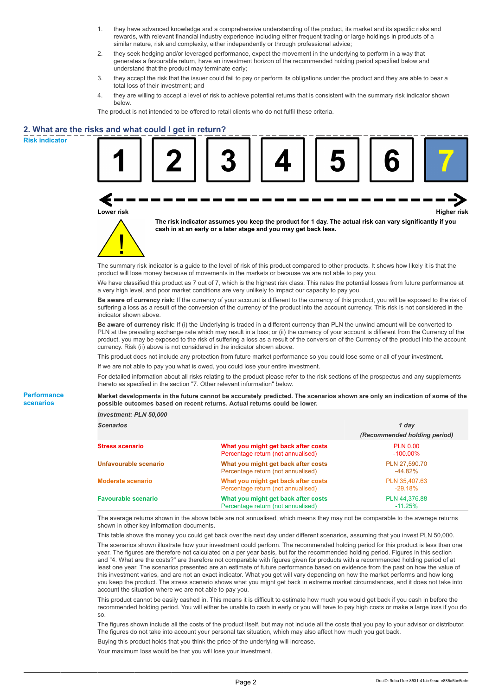- 1. they have advanced knowledge and a comprehensive understanding of the product, its market and its specific risks and rewards, with relevant financial industry experience including either frequent trading or large holdings in products of a similar nature, risk and complexity, either independently or through professional advice;
- 2. they seek hedging and/or leveraged performance, expect the movement in the underlying to perform in a way that generates a favourable return, have an investment horizon of the recommended holding period specified below and understand that the product may terminate early;
- 3. they accept the risk that the issuer could fail to pay or perform its obligations under the product and they are able to bear a total loss of their investment; and
- 4. they are willing to accept a level of risk to achieve potential returns that is consistent with the summary risk indicator shown below.

The product is not intended to be offered to retail clients who do not fulfil these criteria.

# **2. What are the risks and what could I get in return?**

**Risk indicator**

**Performance scenarios**

|                        | (s and what could I get in return?                                                                                                                                                                                                                                                                                                                                                                                                                                                                         |                                     |                              |                    |
|------------------------|------------------------------------------------------------------------------------------------------------------------------------------------------------------------------------------------------------------------------------------------------------------------------------------------------------------------------------------------------------------------------------------------------------------------------------------------------------------------------------------------------------|-------------------------------------|------------------------------|--------------------|
| Lower risk             |                                                                                                                                                                                                                                                                                                                                                                                                                                                                                                            |                                     |                              | <b>Higher risk</b> |
|                        | The risk indicator assumes you keep the product for 1 day. The actual risk can vary significantly if you<br>cash in at an early or a later stage and you may get back less.                                                                                                                                                                                                                                                                                                                                |                                     |                              |                    |
|                        | The summary risk indicator is a guide to the level of risk of this product compared to other products. It shows how likely it is that the<br>product will lose money because of movements in the markets or because we are not able to pay you.                                                                                                                                                                                                                                                            |                                     |                              |                    |
|                        | We have classified this product as 7 out of 7, which is the highest risk class. This rates the potential losses from future performance at<br>a very high level, and poor market conditions are very unlikely to impact our capacity to pay you.                                                                                                                                                                                                                                                           |                                     |                              |                    |
| indicator shown above. | Be aware of currency risk: If the currency of your account is different to the currency of this product, you will be exposed to the risk of<br>suffering a loss as a result of the conversion of the currency of the product into the account currency. This risk is not considered in the                                                                                                                                                                                                                 |                                     |                              |                    |
|                        | Be aware of currency risk: If (i) the Underlying is traded in a different currency than PLN the unwind amount will be converted to<br>PLN at the prevailing exchange rate which may result in a loss; or (ii) the currency of your account is different from the Currency of the<br>product, you may be exposed to the risk of suffering a loss as a result of the conversion of the Currency of the product into the account<br>currency. Risk (ii) above is not considered in the indicator shown above. |                                     |                              |                    |
|                        | This product does not include any protection from future market performance so you could lose some or all of your investment.                                                                                                                                                                                                                                                                                                                                                                              |                                     |                              |                    |
|                        | If we are not able to pay you what is owed, you could lose your entire investment.                                                                                                                                                                                                                                                                                                                                                                                                                         |                                     |                              |                    |
|                        | For detailed information about all risks relating to the product please refer to the risk sections of the prospectus and any supplements<br>thereto as specified in the section "7. Other relevant information" below.                                                                                                                                                                                                                                                                                     |                                     |                              |                    |
|                        | Market developments in the future cannot be accurately predicted. The scenarios shown are only an indication of some of the<br>possible outcomes based on recent returns. Actual returns could be lower.                                                                                                                                                                                                                                                                                                   |                                     |                              |                    |
| Investment: PLN 50,000 |                                                                                                                                                                                                                                                                                                                                                                                                                                                                                                            |                                     |                              |                    |
| <b>Scenarios</b>       |                                                                                                                                                                                                                                                                                                                                                                                                                                                                                                            |                                     | 1 day                        |                    |
|                        |                                                                                                                                                                                                                                                                                                                                                                                                                                                                                                            |                                     | (Recommended holding period) |                    |
| <b>Stress scenario</b> |                                                                                                                                                                                                                                                                                                                                                                                                                                                                                                            | What you might get back after costs | <b>PLN 0.00</b>              |                    |

| <b>Stress scenario</b>     | What you might get back after costs<br>Percentage return (not annualised) | <b>PLN 0.00</b><br>$-100.00\%$ |
|----------------------------|---------------------------------------------------------------------------|--------------------------------|
| Unfavourable scenario      | What you might get back after costs<br>Percentage return (not annualised) | PLN 27.590.70<br>$-44.82%$     |
| <b>Moderate scenario</b>   | What you might get back after costs<br>Percentage return (not annualised) | PLN 35.407.63<br>$-29.18%$     |
| <b>Favourable scenario</b> | What you might get back after costs<br>Percentage return (not annualised) | PLN 44.376.88<br>$-11.25%$     |

The average returns shown in the above table are not annualised, which means they may not be comparable to the average returns shown in other key information documents.

This table shows the money you could get back over the next day under different scenarios, assuming that you invest PLN 50,000.

The scenarios shown illustrate how your investment could perform. The recommended holding period for this product is less than one year. The figures are therefore not calculated on a per year basis, but for the recommended holding period. Figures in this section and "4. What are the costs?" are therefore not comparable with figures given for products with a recommended holding period of at least one year. The scenarios presented are an estimate of future performance based on evidence from the past on how the value of this investment varies, and are not an exact indicator. What you get will vary depending on how the market performs and how long you keep the product. The stress scenario shows what you might get back in extreme market circumstances, and it does not take into account the situation where we are not able to pay you.

This product cannot be easily cashed in. This means it is difficult to estimate how much you would get back if you cash in before the recommended holding period. You will either be unable to cash in early or you will have to pay high costs or make a large loss if you do so.

The figures shown include all the costs of the product itself, but may not include all the costs that you pay to your advisor or distributor. The figures do not take into account your personal tax situation, which may also affect how much you get back.

Buying this product holds that you think the price of the underlying will increase.

Your maximum loss would be that you will lose your investment.